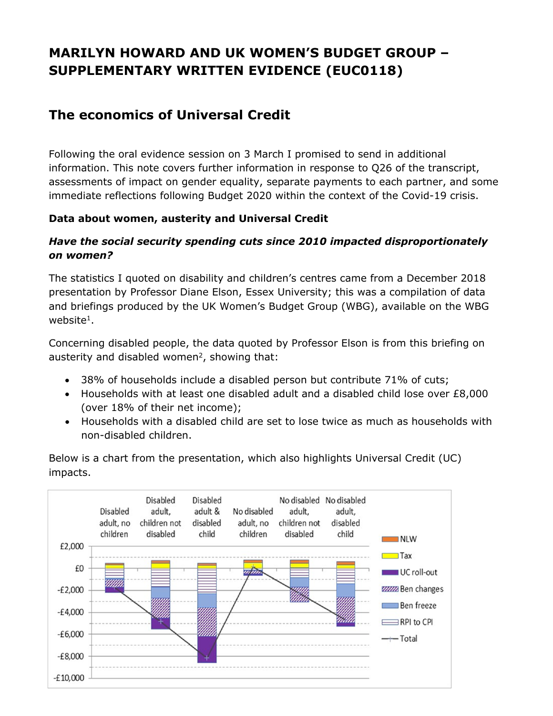# **MARILYN HOWARD AND UK WOMEN'S BUDGET GROUP – SUPPLEMENTARY WRITTEN EVIDENCE (EUC0118)**

# **The economics of Universal Credit**

Following the oral evidence session on 3 March I promised to send in additional information. This note covers further information in response to Q26 of the transcript, assessments of impact on gender equality, separate payments to each partner, and some immediate reflections following Budget 2020 within the context of the Covid-19 crisis.

#### **Data about women, austerity and Universal Credit**

#### *Have the social security spending cuts since 2010 impacted disproportionately on women?*

The statistics I quoted on disability and children's centres came from a December 2018 presentation by Professor Diane Elson, Essex University; this was a compilation of data and briefings produced by the UK Women's Budget Group (WBG), available on the WBG website<sup>1</sup>.

Concerning disabled people, the data quoted by Professor Elson is from this briefing on austerity and disabled women<sup>2</sup>, showing that:

- 38% of households include a disabled person but contribute 71% of cuts;
- Households with at least one disabled adult and a disabled child lose over £8,000 (over 18% of their net income);
- Households with a disabled child are set to lose twice as much as households with non-disabled children.

Below is a chart from the presentation, which also highlights Universal Credit (UC) impacts.

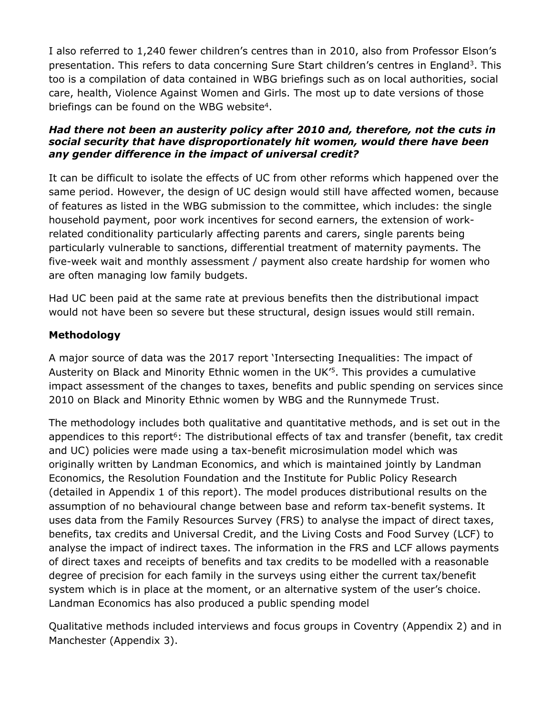I also referred to 1,240 fewer children's centres than in 2010, also from Professor Elson's presentation. This refers to data concerning Sure Start children's centres in England<sup>3</sup>. This too is a compilation of data contained in WBG briefings such as on local authorities, social care, health, Violence Against Women and Girls. The most up to date versions of those briefings can be found on the WBG website<sup>4</sup>.

#### *Had there not been an austerity policy after 2010 and, therefore, not the cuts in social security that have disproportionately hit women, would there have been any gender difference in the impact of universal credit?*

It can be difficult to isolate the effects of UC from other reforms which happened over the same period. However, the design of UC design would still have affected women, because of features as listed in the WBG submission to the committee, which includes: the single household payment, poor work incentives for second earners, the extension of workrelated conditionality particularly affecting parents and carers, single parents being particularly vulnerable to sanctions, differential treatment of maternity payments. The five-week wait and monthly assessment / payment also create hardship for women who are often managing low family budgets.

Had UC been paid at the same rate at previous benefits then the distributional impact would not have been so severe but these structural, design issues would still remain.

#### **Methodology**

A major source of data was the 2017 report 'Intersecting Inequalities: The impact of Austerity on Black and Minority Ethnic women in the UK'<sup>5</sup>. This provides a cumulative impact assessment of the changes to taxes, benefits and public spending on services since 2010 on Black and Minority Ethnic women by WBG and the Runnymede Trust.

The methodology includes both qualitative and quantitative methods, and is set out in the appendices to this report<sup>6</sup>: The distributional effects of tax and transfer (benefit, tax credit and UC) policies were made using a tax-benefit microsimulation model which was originally written by Landman Economics, and which is maintained jointly by Landman Economics, the Resolution Foundation and the Institute for Public Policy Research (detailed in Appendix 1 of this report). The model produces distributional results on the assumption of no behavioural change between base and reform tax-benefit systems. It uses data from the Family Resources Survey (FRS) to analyse the impact of direct taxes, benefits, tax credits and Universal Credit, and the Living Costs and Food Survey (LCF) to analyse the impact of indirect taxes. The information in the FRS and LCF allows payments of direct taxes and receipts of benefits and tax credits to be modelled with a reasonable degree of precision for each family in the surveys using either the current tax/benefit system which is in place at the moment, or an alternative system of the user's choice. Landman Economics has also produced a public spending model

Qualitative methods included interviews and focus groups in Coventry (Appendix 2) and in Manchester (Appendix 3).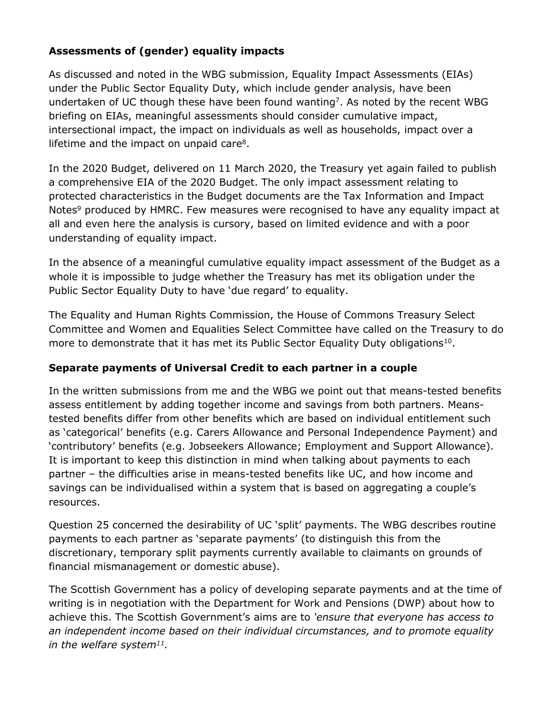#### **Assessments of (gender) equality impacts**

As discussed and noted in the WBG submission, Equality Impact Assessments (EIAs) under the Public Sector Equality Duty, which include gender analysis, have been undertaken of UC though these have been found wanting<sup>7</sup>. As noted by the recent WBG briefing on EIAs, meaningful assessments should consider cumulative impact, intersectional impact, the impact on individuals as well as households, impact over a lifetime and the impact on unpaid care<sup>8</sup>.

In the 2020 Budget, delivered on 11 March 2020, the Treasury yet again failed to publish a comprehensive EIA of the 2020 Budget. The only impact assessment relating to protected characteristics in the Budget documents are the Tax Information and Impact Notes<sup>9</sup> produced by HMRC. Few measures were recognised to have any equality impact at all and even here the analysis is cursory, based on limited evidence and with a poor understanding of equality impact.

In the absence of a meaningful cumulative equality impact assessment of the Budget as a whole it is impossible to judge whether the Treasury has met its obligation under the Public Sector Equality Duty to have 'due regard' to equality.

The Equality and Human Rights Commission, the House of Commons Treasury Select Committee and Women and Equalities Select Committee have called on the Treasury to do more to demonstrate that it has met its Public Sector Equality Duty obligations<sup>10</sup>.

#### **Separate payments of Universal Credit to each partner in a couple**

In the written submissions from me and the WBG we point out that means-tested benefits assess entitlement by adding together income and savings from both partners. Meanstested benefits differ from other benefits which are based on individual entitlement such as 'categorical' benefits (e.g. Carers Allowance and Personal Independence Payment) and 'contributory' benefits (e.g. Jobseekers Allowance; Employment and Support Allowance). It is important to keep this distinction in mind when talking about payments to each partner – the difficulties arise in means-tested benefits like UC, and how income and savings can be individualised within a system that is based on aggregating a couple's resources.

Question 25 concerned the desirability of UC 'split' payments. The WBG describes routine payments to each partner as 'separate payments' (to distinguish this from the discretionary, temporary split payments currently available to claimants on grounds of financial mismanagement or domestic abuse).

The Scottish Government has a policy of developing separate payments and at the time of writing is in negotiation with the Department for Work and Pensions (DWP) about how to achieve this. The Scottish Government's aims are to *'ensure that everyone has access to an independent income based on their individual circumstances, and to promote equality in the welfare system<sup>11</sup>.*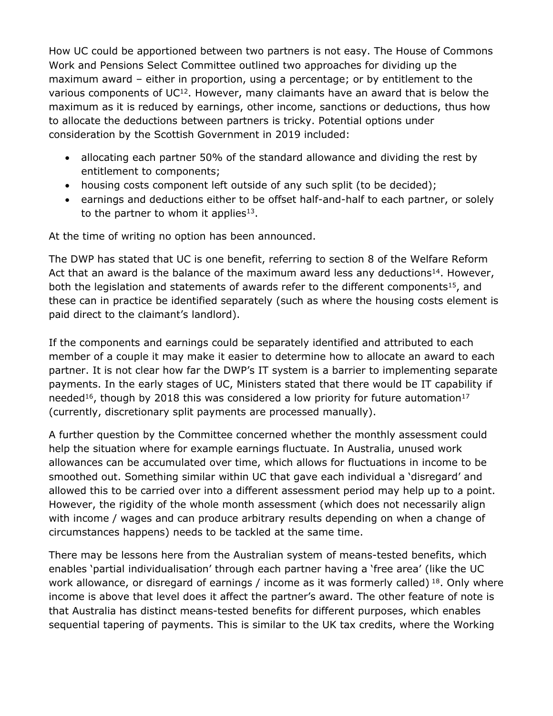How UC could be apportioned between two partners is not easy. The House of Commons Work and Pensions Select Committee outlined two approaches for dividing up the maximum award – either in proportion, using a percentage; or by entitlement to the various components of UC<sup>12</sup>. However, many claimants have an award that is below the maximum as it is reduced by earnings, other income, sanctions or deductions, thus how to allocate the deductions between partners is tricky. Potential options under consideration by the Scottish Government in 2019 included:

- allocating each partner 50% of the standard allowance and dividing the rest by entitlement to components;
- housing costs component left outside of any such split (to be decided);
- earnings and deductions either to be offset half-and-half to each partner, or solely to the partner to whom it applies $13$ .

At the time of writing no option has been announced.

The DWP has stated that UC is one benefit, referring to section 8 of the Welfare Reform Act that an award is the balance of the maximum award less any deductions<sup>14</sup>. However, both the legislation and statements of awards refer to the different components<sup>15</sup>, and these can in practice be identified separately (such as where the housing costs element is paid direct to the claimant's landlord).

If the components and earnings could be separately identified and attributed to each member of a couple it may make it easier to determine how to allocate an award to each partner. It is not clear how far the DWP's IT system is a barrier to implementing separate payments. In the early stages of UC, Ministers stated that there would be IT capability if needed<sup>16</sup>, though by 2018 this was considered a low priority for future automation<sup>17</sup> (currently, discretionary split payments are processed manually).

A further question by the Committee concerned whether the monthly assessment could help the situation where for example earnings fluctuate. In Australia, unused work allowances can be accumulated over time, which allows for fluctuations in income to be smoothed out. Something similar within UC that gave each individual a 'disregard' and allowed this to be carried over into a different assessment period may help up to a point. However, the rigidity of the whole month assessment (which does not necessarily align with income / wages and can produce arbitrary results depending on when a change of circumstances happens) needs to be tackled at the same time.

There may be lessons here from the Australian system of means-tested benefits, which enables 'partial individualisation' through each partner having a 'free area' (like the UC work allowance, or disregard of earnings / income as it was formerly called)  $18$ . Only where income is above that level does it affect the partner's award. The other feature of note is that Australia has distinct means-tested benefits for different purposes, which enables sequential tapering of payments. This is similar to the UK tax credits, where the Working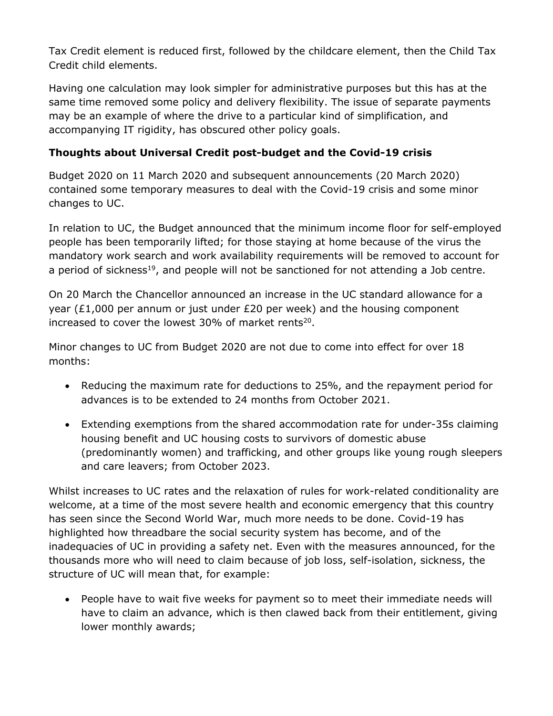Tax Credit element is reduced first, followed by the childcare element, then the Child Tax Credit child elements.

Having one calculation may look simpler for administrative purposes but this has at the same time removed some policy and delivery flexibility. The issue of separate payments may be an example of where the drive to a particular kind of simplification, and accompanying IT rigidity, has obscured other policy goals.

#### **Thoughts about Universal Credit post-budget and the Covid-19 crisis**

Budget 2020 on 11 March 2020 and subsequent announcements (20 March 2020) contained some temporary measures to deal with the Covid-19 crisis and some minor changes to UC.

In relation to UC, the Budget announced that the minimum income floor for self-employed people has been temporarily lifted; for those staying at home because of the virus the mandatory work search and work availability requirements will be removed to account for a period of sickness<sup>19</sup>, and people will not be sanctioned for not attending a Job centre.

On 20 March the Chancellor announced an increase in the UC standard allowance for a year (£1,000 per annum or just under £20 per week) and the housing component increased to cover the lowest 30% of market rents<sup>20</sup>.

Minor changes to UC from Budget 2020 are not due to come into effect for over 18 months:

- Reducing the maximum rate for deductions to 25%, and the repayment period for advances is to be extended to 24 months from October 2021.
- Extending exemptions from the shared accommodation rate for under-35s claiming housing benefit and UC housing costs to survivors of domestic abuse (predominantly women) and trafficking, and other groups like young rough sleepers and care leavers; from October 2023.

Whilst increases to UC rates and the relaxation of rules for work-related conditionality are welcome, at a time of the most severe health and economic emergency that this country has seen since the Second World War, much more needs to be done. Covid-19 has highlighted how threadbare the social security system has become, and of the inadequacies of UC in providing a safety net. Even with the measures announced, for the thousands more who will need to claim because of job loss, self-isolation, sickness, the structure of UC will mean that, for example:

 People have to wait five weeks for payment so to meet their immediate needs will have to claim an advance, which is then clawed back from their entitlement, giving lower monthly awards;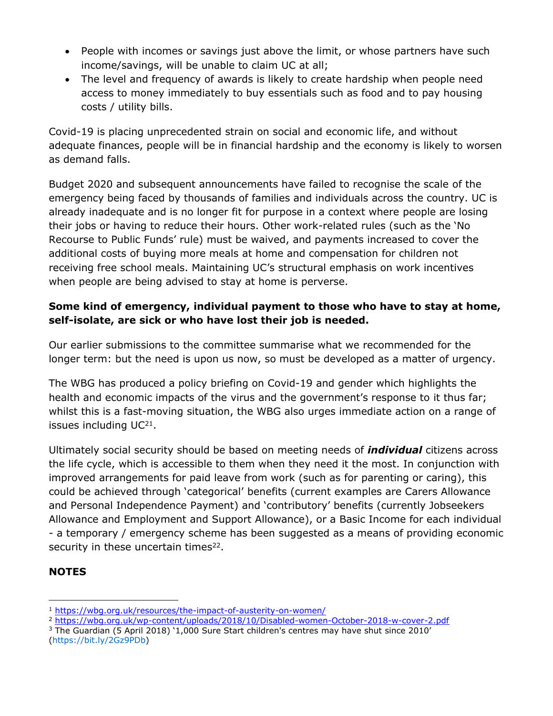- People with incomes or savings just above the limit, or whose partners have such income/savings, will be unable to claim UC at all;
- The level and frequency of awards is likely to create hardship when people need access to money immediately to buy essentials such as food and to pay housing costs / utility bills.

Covid-19 is placing unprecedented strain on social and economic life, and without adequate finances, people will be in financial hardship and the economy is likely to worsen as demand falls.

Budget 2020 and subsequent announcements have failed to recognise the scale of the emergency being faced by thousands of families and individuals across the country. UC is already inadequate and is no longer fit for purpose in a context where people are losing their jobs or having to reduce their hours. Other work-related rules (such as the 'No Recourse to Public Funds' rule) must be waived, and payments increased to cover the additional costs of buying more meals at home and compensation for children not receiving free school meals. Maintaining UC's structural emphasis on work incentives when people are being advised to stay at home is perverse.

### **Some kind of emergency, individual payment to those who have to stay at home, self-isolate, are sick or who have lost their job is needed.**

Our earlier submissions to the committee summarise what we recommended for the longer term: but the need is upon us now, so must be developed as a matter of urgency.

The WBG has produced a policy briefing on Covid-19 and gender which highlights the health and economic impacts of the virus and the government's response to it thus far; whilst this is a fast-moving situation, the WBG also urges immediate action on a range of issues including UC<sup>21</sup>.

Ultimately social security should be based on meeting needs of *individual* citizens across the life cycle, which is accessible to them when they need it the most. In conjunction with improved arrangements for paid leave from work (such as for parenting or caring), this could be achieved through 'categorical' benefits (current examples are Carers Allowance and Personal Independence Payment) and 'contributory' benefits (currently Jobseekers Allowance and Employment and Support Allowance), or a Basic Income for each individual - a temporary / emergency scheme has been suggested as a means of providing economic security in these uncertain times<sup>22</sup>.

## **NOTES**

- <sup>2</sup> <https://wbg.org.uk/wp-content/uploads/2018/10/Disabled-women-October-2018-w-cover-2.pdf>
- <sup>3</sup> The Guardian (5 April 2018) '1,000 Sure Start children's centres may have shut since 2010' (https://bit.ly/2Gz9PDb)

<sup>1</sup> <https://wbg.org.uk/resources/the-impact-of-austerity-on-women/>